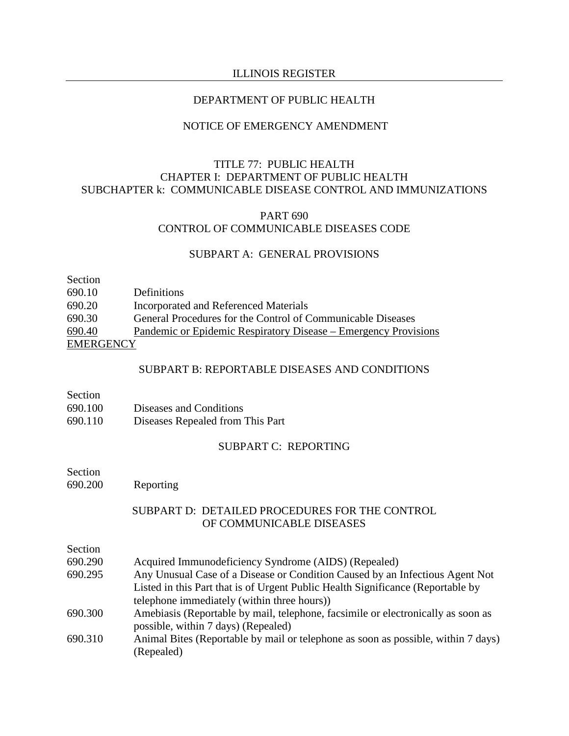#### DEPARTMENT OF PUBLIC HEALTH

#### NOTICE OF EMERGENCY AMENDMENT

### TITLE 77: PUBLIC HEALTH CHAPTER I: DEPARTMENT OF PUBLIC HEALTH SUBCHAPTER k: COMMUNICABLE DISEASE CONTROL AND IMMUNIZATIONS

### PART 690 CONTROL OF COMMUNICABLE DISEASES CODE

#### SUBPART A: GENERAL PROVISIONS

| Section          |                                                                 |
|------------------|-----------------------------------------------------------------|
| 690.10           | Definitions                                                     |
| 690.20           | Incorporated and Referenced Materials                           |
| 690.30           | General Procedures for the Control of Communicable Diseases     |
| 690.40           | Pandemic or Epidemic Respiratory Disease – Emergency Provisions |
| <b>EMERGENCY</b> |                                                                 |

#### SUBPART B: REPORTABLE DISEASES AND CONDITIONS

| Section |
|---------|
|         |

- 690.100 Diseases and Conditions
- 690.110 Diseases Repealed from This Part

### SUBPART C: REPORTING

- Section
- 690.200 Reporting

### SUBPART D: DETAILED PROCEDURES FOR THE CONTROL OF COMMUNICABLE DISEASES

| Section |  |
|---------|--|
|         |  |

- 690.290 Acquired Immunodeficiency Syndrome (AIDS) (Repealed)
- 690.295 Any Unusual Case of a Disease or Condition Caused by an Infectious Agent Not Listed in this Part that is of Urgent Public Health Significance (Reportable by telephone immediately (within three hours))
- 690.300 Amebiasis (Reportable by mail, telephone, facsimile or electronically as soon as possible, within 7 days) (Repealed)
- 690.310 Animal Bites (Reportable by mail or telephone as soon as possible, within 7 days) (Repealed)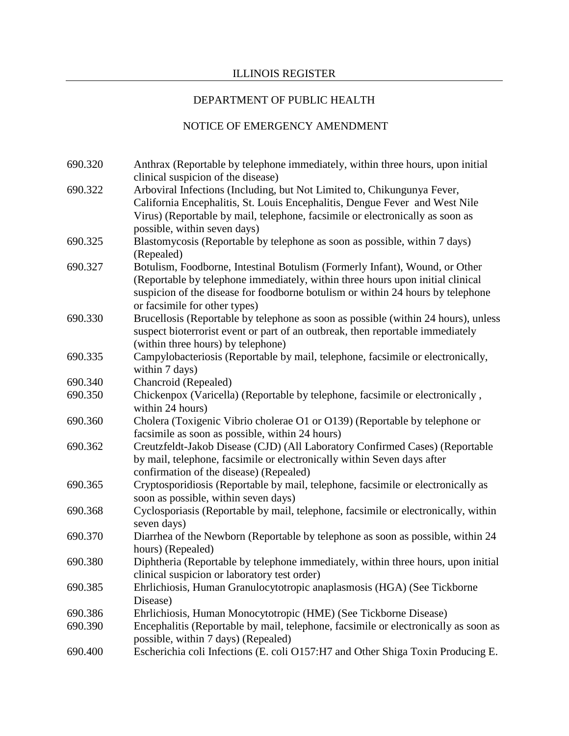## DEPARTMENT OF PUBLIC HEALTH

| 690.320 | Anthrax (Reportable by telephone immediately, within three hours, upon initial<br>clinical suspicion of the disease) |
|---------|----------------------------------------------------------------------------------------------------------------------|
| 690.322 | Arboviral Infections (Including, but Not Limited to, Chikungunya Fever,                                              |
|         | California Encephalitis, St. Louis Encephalitis, Dengue Fever and West Nile                                          |
|         | Virus) (Reportable by mail, telephone, facsimile or electronically as soon as                                        |
|         | possible, within seven days)                                                                                         |
| 690.325 | Blastomycosis (Reportable by telephone as soon as possible, within 7 days)                                           |
|         | (Repealed)                                                                                                           |
| 690.327 | Botulism, Foodborne, Intestinal Botulism (Formerly Infant), Wound, or Other                                          |
|         | (Reportable by telephone immediately, within three hours upon initial clinical                                       |
|         | suspicion of the disease for foodborne botulism or within 24 hours by telephone                                      |
|         | or facsimile for other types)                                                                                        |
| 690.330 | Brucellosis (Reportable by telephone as soon as possible (within 24 hours), unless                                   |
|         | suspect bioterrorist event or part of an outbreak, then reportable immediately                                       |
|         | (within three hours) by telephone)                                                                                   |
| 690.335 | Campylobacteriosis (Reportable by mail, telephone, facsimile or electronically,                                      |
|         | within 7 days)                                                                                                       |
| 690.340 | Chancroid (Repealed)                                                                                                 |
| 690.350 | Chickenpox (Varicella) (Reportable by telephone, facsimile or electronically,<br>within 24 hours)                    |
| 690.360 | Cholera (Toxigenic Vibrio cholerae O1 or O139) (Reportable by telephone or                                           |
|         | facsimile as soon as possible, within 24 hours)                                                                      |
| 690.362 | Creutzfeldt-Jakob Disease (CJD) (All Laboratory Confirmed Cases) (Reportable                                         |
|         | by mail, telephone, facsimile or electronically within Seven days after                                              |
|         | confirmation of the disease) (Repealed)                                                                              |
| 690.365 | Cryptosporidiosis (Reportable by mail, telephone, facsimile or electronically as                                     |
|         | soon as possible, within seven days)                                                                                 |
| 690.368 | Cyclosporiasis (Reportable by mail, telephone, facsimile or electronically, within<br>seven days)                    |
| 690.370 | Diarrhea of the Newborn (Reportable by telephone as soon as possible, within 24                                      |
|         | hours) (Repealed)                                                                                                    |
| 690.380 | Diphtheria (Reportable by telephone immediately, within three hours, upon initial                                    |
|         | clinical suspicion or laboratory test order)                                                                         |
| 690.385 | Ehrlichiosis, Human Granulocytotropic anaplasmosis (HGA) (See Tickborne                                              |
|         | Disease)                                                                                                             |
| 690.386 | Ehrlichiosis, Human Monocytotropic (HME) (See Tickborne Disease)                                                     |
| 690.390 | Encephalitis (Reportable by mail, telephone, facsimile or electronically as soon as                                  |
|         | possible, within 7 days) (Repealed)                                                                                  |
| 690.400 | Escherichia coli Infections (E. coli O157:H7 and Other Shiga Toxin Producing E.                                      |
|         |                                                                                                                      |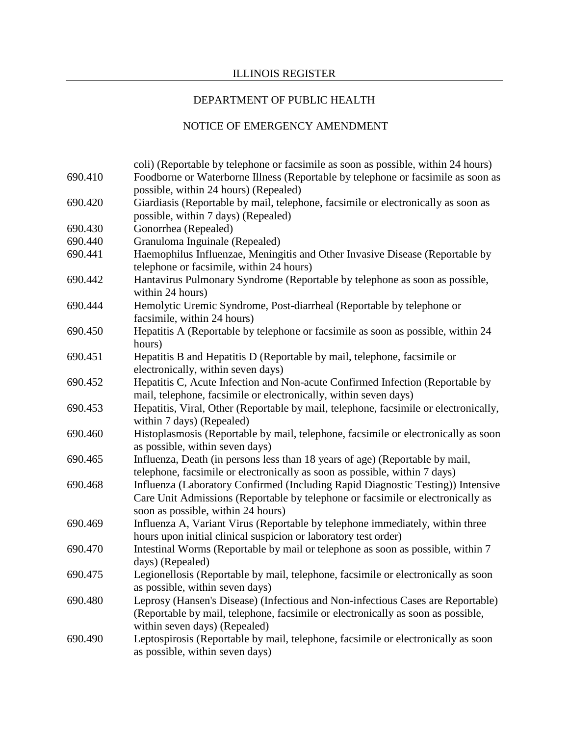## DEPARTMENT OF PUBLIC HEALTH

| 690.410 | coli) (Reportable by telephone or facsimile as soon as possible, within 24 hours)<br>Foodborne or Waterborne Illness (Reportable by telephone or facsimile as soon as |  |
|---------|-----------------------------------------------------------------------------------------------------------------------------------------------------------------------|--|
|         | possible, within 24 hours) (Repealed)                                                                                                                                 |  |
| 690.420 | Giardiasis (Reportable by mail, telephone, facsimile or electronically as soon as                                                                                     |  |
|         | possible, within 7 days) (Repealed)                                                                                                                                   |  |
| 690.430 | Gonorrhea (Repealed)                                                                                                                                                  |  |
| 690.440 | Granuloma Inguinale (Repealed)                                                                                                                                        |  |
| 690.441 | Haemophilus Influenzae, Meningitis and Other Invasive Disease (Reportable by<br>telephone or facsimile, within 24 hours)                                              |  |
| 690.442 | Hantavirus Pulmonary Syndrome (Reportable by telephone as soon as possible,                                                                                           |  |
|         | within 24 hours)                                                                                                                                                      |  |
| 690.444 | Hemolytic Uremic Syndrome, Post-diarrheal (Reportable by telephone or                                                                                                 |  |
|         | facsimile, within 24 hours)                                                                                                                                           |  |
| 690.450 | Hepatitis A (Reportable by telephone or facsimile as soon as possible, within 24                                                                                      |  |
|         | hours)                                                                                                                                                                |  |
| 690.451 | Hepatitis B and Hepatitis D (Reportable by mail, telephone, facsimile or                                                                                              |  |
|         | electronically, within seven days)                                                                                                                                    |  |
| 690.452 | Hepatitis C, Acute Infection and Non-acute Confirmed Infection (Reportable by                                                                                         |  |
|         | mail, telephone, facsimile or electronically, within seven days)                                                                                                      |  |
| 690.453 | Hepatitis, Viral, Other (Reportable by mail, telephone, facsimile or electronically,<br>within 7 days) (Repealed)                                                     |  |
| 690.460 | Histoplasmosis (Reportable by mail, telephone, facsimile or electronically as soon                                                                                    |  |
|         | as possible, within seven days)                                                                                                                                       |  |
| 690.465 | Influenza, Death (in persons less than 18 years of age) (Reportable by mail,                                                                                          |  |
|         | telephone, facsimile or electronically as soon as possible, within 7 days)                                                                                            |  |
| 690.468 | Influenza (Laboratory Confirmed (Including Rapid Diagnostic Testing)) Intensive                                                                                       |  |
|         | Care Unit Admissions (Reportable by telephone or facsimile or electronically as                                                                                       |  |
|         | soon as possible, within 24 hours)                                                                                                                                    |  |
| 690.469 | Influenza A, Variant Virus (Reportable by telephone immediately, within three                                                                                         |  |
|         | hours upon initial clinical suspicion or laboratory test order)                                                                                                       |  |
| 690.470 | Intestinal Worms (Reportable by mail or telephone as soon as possible, within 7                                                                                       |  |
|         | days) (Repealed)                                                                                                                                                      |  |
| 690.475 | Legionellosis (Reportable by mail, telephone, facsimile or electronically as soon                                                                                     |  |
|         | as possible, within seven days)                                                                                                                                       |  |
| 690.480 | Leprosy (Hansen's Disease) (Infectious and Non-infectious Cases are Reportable)                                                                                       |  |
|         | (Reportable by mail, telephone, facsimile or electronically as soon as possible,<br>within seven days) (Repealed)                                                     |  |
| 690.490 |                                                                                                                                                                       |  |
|         | Leptospirosis (Reportable by mail, telephone, facsimile or electronically as soon<br>as possible, within seven days)                                                  |  |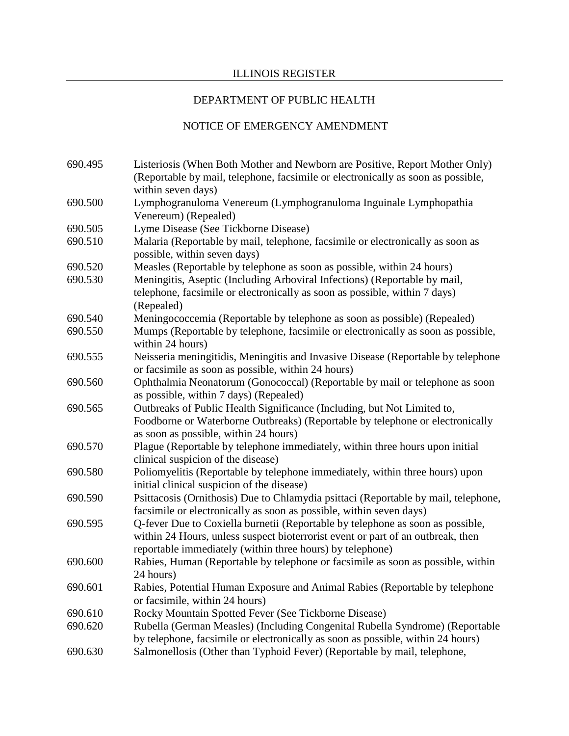## DEPARTMENT OF PUBLIC HEALTH

| 690.495 | Listeriosis (When Both Mother and Newborn are Positive, Report Mother Only)                          |
|---------|------------------------------------------------------------------------------------------------------|
|         | (Reportable by mail, telephone, facsimile or electronically as soon as possible,                     |
|         | within seven days)                                                                                   |
| 690.500 | Lymphogranuloma Venereum (Lymphogranuloma Inguinale Lymphopathia                                     |
|         | Venereum) (Repealed)                                                                                 |
| 690.505 | Lyme Disease (See Tickborne Disease)                                                                 |
| 690.510 | Malaria (Reportable by mail, telephone, facsimile or electronically as soon as                       |
|         | possible, within seven days)                                                                         |
| 690.520 | Measles (Reportable by telephone as soon as possible, within 24 hours)                               |
| 690.530 | Meningitis, Aseptic (Including Arboviral Infections) (Reportable by mail,                            |
|         | telephone, facsimile or electronically as soon as possible, within 7 days)                           |
|         | (Repealed)                                                                                           |
| 690.540 | Meningococcemia (Reportable by telephone as soon as possible) (Repealed)                             |
| 690.550 | Mumps (Reportable by telephone, facsimile or electronically as soon as possible,<br>within 24 hours) |
| 690.555 | Neisseria meningitidis, Meningitis and Invasive Disease (Reportable by telephone                     |
|         | or facsimile as soon as possible, within 24 hours)                                                   |
| 690.560 | Ophthalmia Neonatorum (Gonococcal) (Reportable by mail or telephone as soon                          |
|         | as possible, within 7 days) (Repealed)                                                               |
| 690.565 | Outbreaks of Public Health Significance (Including, but Not Limited to,                              |
|         | Foodborne or Waterborne Outbreaks) (Reportable by telephone or electronically                        |
|         | as soon as possible, within 24 hours)                                                                |
| 690.570 | Plague (Reportable by telephone immediately, within three hours upon initial                         |
|         | clinical suspicion of the disease)                                                                   |
| 690.580 | Poliomyelitis (Reportable by telephone immediately, within three hours) upon                         |
|         | initial clinical suspicion of the disease)                                                           |
| 690.590 | Psittacosis (Ornithosis) Due to Chlamydia psittaci (Reportable by mail, telephone,                   |
|         | facsimile or electronically as soon as possible, within seven days)                                  |
| 690.595 | Q-fever Due to Coxiella burnetii (Reportable by telephone as soon as possible,                       |
|         | within 24 Hours, unless suspect bioterrorist event or part of an outbreak, then                      |
|         | reportable immediately (within three hours) by telephone)                                            |
| 690.600 | Rabies, Human (Reportable by telephone or facsimile as soon as possible, within                      |
|         | 24 hours)                                                                                            |
| 690.601 | Rabies, Potential Human Exposure and Animal Rabies (Reportable by telephone                          |
|         | or facsimile, within 24 hours)                                                                       |
| 690.610 | Rocky Mountain Spotted Fever (See Tickborne Disease)                                                 |
| 690.620 | Rubella (German Measles) (Including Congenital Rubella Syndrome) (Reportable                         |
|         | by telephone, facsimile or electronically as soon as possible, within 24 hours)                      |
| 690.630 | Salmonellosis (Other than Typhoid Fever) (Reportable by mail, telephone,                             |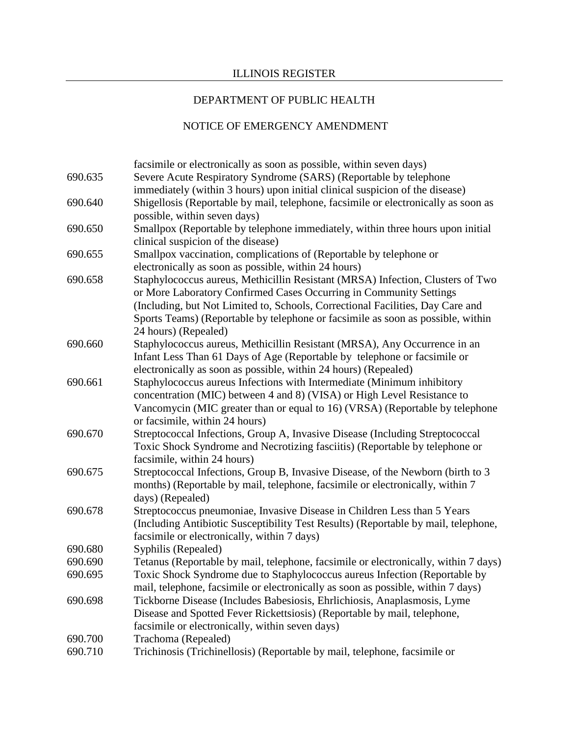## DEPARTMENT OF PUBLIC HEALTH

|         | facsimile or electronically as soon as possible, within seven days)                 |
|---------|-------------------------------------------------------------------------------------|
| 690.635 | Severe Acute Respiratory Syndrome (SARS) (Reportable by telephone                   |
|         | immediately (within 3 hours) upon initial clinical suspicion of the disease)        |
| 690.640 | Shigellosis (Reportable by mail, telephone, facsimile or electronically as soon as  |
|         | possible, within seven days)                                                        |
| 690.650 | Smallpox (Reportable by telephone immediately, within three hours upon initial      |
|         | clinical suspicion of the disease)                                                  |
| 690.655 | Smallpox vaccination, complications of (Reportable by telephone or                  |
|         | electronically as soon as possible, within 24 hours)                                |
| 690.658 | Staphylococcus aureus, Methicillin Resistant (MRSA) Infection, Clusters of Two      |
|         | or More Laboratory Confirmed Cases Occurring in Community Settings                  |
|         | (Including, but Not Limited to, Schools, Correctional Facilities, Day Care and      |
|         | Sports Teams) (Reportable by telephone or facsimile as soon as possible, within     |
|         | 24 hours) (Repealed)                                                                |
| 690.660 | Staphylococcus aureus, Methicillin Resistant (MRSA), Any Occurrence in an           |
|         | Infant Less Than 61 Days of Age (Reportable by telephone or facsimile or            |
|         | electronically as soon as possible, within 24 hours) (Repealed)                     |
| 690.661 | Staphylococcus aureus Infections with Intermediate (Minimum inhibitory              |
|         | concentration (MIC) between 4 and 8) (VISA) or High Level Resistance to             |
|         | Vancomycin (MIC greater than or equal to 16) (VRSA) (Reportable by telephone        |
|         | or facsimile, within 24 hours)                                                      |
| 690.670 | Streptococcal Infections, Group A, Invasive Disease (Including Streptococcal        |
|         | Toxic Shock Syndrome and Necrotizing fasciitis) (Reportable by telephone or         |
|         | facsimile, within 24 hours)                                                         |
| 690.675 | Streptococcal Infections, Group B, Invasive Disease, of the Newborn (birth to 3     |
|         | months) (Reportable by mail, telephone, facsimile or electronically, within 7       |
|         | days) (Repealed)                                                                    |
| 690.678 | Streptococcus pneumoniae, Invasive Disease in Children Less than 5 Years            |
|         | (Including Antibiotic Susceptibility Test Results) (Reportable by mail, telephone,  |
| 690.680 | facsimile or electronically, within 7 days)<br>Syphilis (Repealed)                  |
| 690.690 | Tetanus (Reportable by mail, telephone, facsimile or electronically, within 7 days) |
| 690.695 | Toxic Shock Syndrome due to Staphylococcus aureus Infection (Reportable by          |
|         | mail, telephone, facsimile or electronically as soon as possible, within 7 days)    |
| 690.698 | Tickborne Disease (Includes Babesiosis, Ehrlichiosis, Anaplasmosis, Lyme            |
|         | Disease and Spotted Fever Rickettsiosis) (Reportable by mail, telephone,            |
|         | facsimile or electronically, within seven days)                                     |
| 690.700 | Trachoma (Repealed)                                                                 |
| 690.710 | Trichinosis (Trichinellosis) (Reportable by mail, telephone, facsimile or           |
|         |                                                                                     |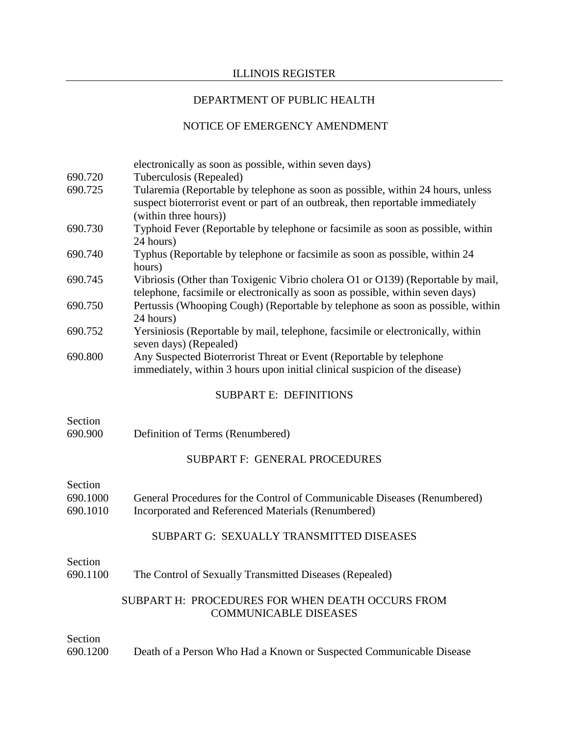## DEPARTMENT OF PUBLIC HEALTH

|                      | electronically as soon as possible, within seven days)                                                                                                                                     |
|----------------------|--------------------------------------------------------------------------------------------------------------------------------------------------------------------------------------------|
| 690.720              | Tuberculosis (Repealed)                                                                                                                                                                    |
| 690.725              | Tularemia (Reportable by telephone as soon as possible, within 24 hours, unless<br>suspect bioterrorist event or part of an outbreak, then reportable immediately<br>(within three hours)) |
| 690.730              | Typhoid Fever (Reportable by telephone or facsimile as soon as possible, within<br>24 hours)                                                                                               |
| 690.740              | Typhus (Reportable by telephone or facsimile as soon as possible, within 24<br>hours)                                                                                                      |
| 690.745              | Vibriosis (Other than Toxigenic Vibrio cholera O1 or O139) (Reportable by mail,<br>telephone, facsimile or electronically as soon as possible, within seven days)                          |
| 690.750              | Pertussis (Whooping Cough) (Reportable by telephone as soon as possible, within<br>24 hours)                                                                                               |
| 690.752              | Yersiniosis (Reportable by mail, telephone, facsimile or electronically, within<br>seven days) (Repealed)                                                                                  |
| 690.800              | Any Suspected Bioterrorist Threat or Event (Reportable by telephone<br>immediately, within 3 hours upon initial clinical suspicion of the disease)                                         |
|                      | <b>SUBPART E: DEFINITIONS</b>                                                                                                                                                              |
| Section<br>690.900   | Definition of Terms (Renumbered)                                                                                                                                                           |
|                      | SUBPART F: GENERAL PROCEDURES                                                                                                                                                              |
| Section              |                                                                                                                                                                                            |
| 690.1000<br>690.1010 | General Procedures for the Control of Communicable Diseases (Renumbered)<br>Incorporated and Referenced Materials (Renumbered)                                                             |
|                      | SUBPART G: SEXUALLY TRANSMITTED DISEASES                                                                                                                                                   |
| Section              |                                                                                                                                                                                            |
| 690.1100             | The Control of Sexually Transmitted Diseases (Repealed)                                                                                                                                    |
|                      | SUBPART H: PROCEDURES FOR WHEN DEATH OCCURS FROM<br><b>COMMUNICABLE DISEASES</b>                                                                                                           |
| Section              |                                                                                                                                                                                            |
| 690.1200             | Death of a Person Who Had a Known or Suspected Communicable Disease                                                                                                                        |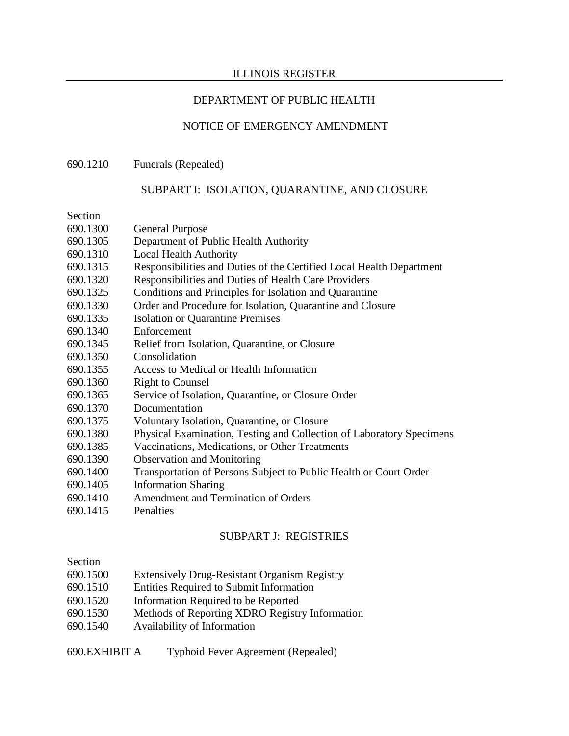### DEPARTMENT OF PUBLIC HEALTH

#### NOTICE OF EMERGENCY AMENDMENT

#### 690.1210 Funerals (Repealed)

#### SUBPART I: ISOLATION, QUARANTINE, AND CLOSURE

Section

| 690.1300 | <b>General Purpose</b> |
|----------|------------------------|
|----------|------------------------|

- 690.1305 Department of Public Health Authority
- 690.1310 Local Health Authority
- 690.1315 Responsibilities and Duties of the Certified Local Health Department
- 690.1320 Responsibilities and Duties of Health Care Providers
- 690.1325 Conditions and Principles for Isolation and Quarantine
- 690.1330 Order and Procedure for Isolation, Quarantine and Closure
- 690.1335 Isolation or Quarantine Premises
- 690.1340 Enforcement
- 690.1345 Relief from Isolation, Quarantine, or Closure
- 690.1350 Consolidation
- 690.1355 Access to Medical or Health Information
- 690.1360 Right to Counsel
- 690.1365 Service of Isolation, Quarantine, or Closure Order
- 690.1370 Documentation
- 690.1375 Voluntary Isolation, Quarantine, or Closure
- 690.1380 Physical Examination, Testing and Collection of Laboratory Specimens
- 690.1385 Vaccinations, Medications, or Other Treatments
- 690.1390 Observation and Monitoring
- 690.1400 Transportation of Persons Subject to Public Health or Court Order
- 690.1405 Information Sharing
- 690.1410 Amendment and Termination of Orders
- 690.1415 Penalties

### SUBPART J: REGISTRIES

#### Section

- 690.1500 Extensively Drug-Resistant Organism Registry
- 690.1510 Entities Required to Submit Information
- 690.1520 Information Required to be Reported
- 690.1530 Methods of Reporting XDRO Registry Information
- 690.1540 Availability of Information

#### 690.EXHIBIT A Typhoid Fever Agreement (Repealed)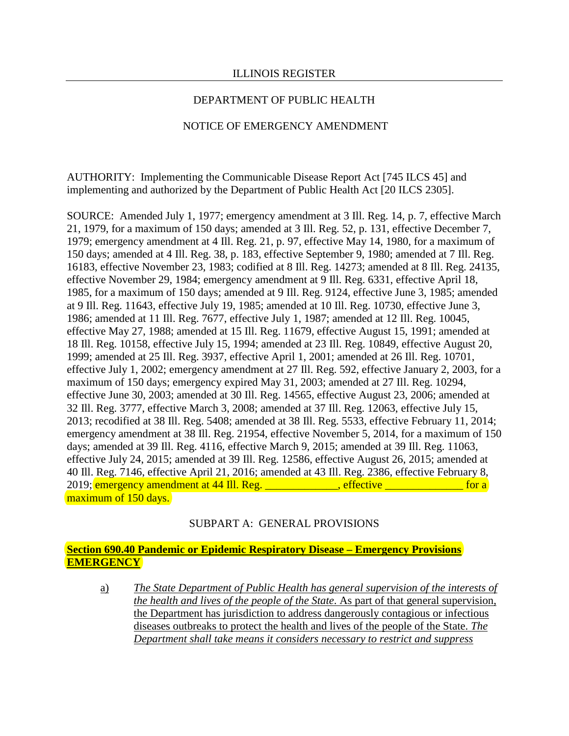### DEPARTMENT OF PUBLIC HEALTH

### NOTICE OF EMERGENCY AMENDMENT

AUTHORITY: Implementing the Communicable Disease Report Act [745 ILCS 45] and implementing and authorized by the Department of Public Health Act [20 ILCS 2305].

SOURCE: Amended July 1, 1977; emergency amendment at 3 Ill. Reg. 14, p. 7, effective March 21, 1979, for a maximum of 150 days; amended at 3 Ill. Reg. 52, p. 131, effective December 7, 1979; emergency amendment at 4 Ill. Reg. 21, p. 97, effective May 14, 1980, for a maximum of 150 days; amended at 4 Ill. Reg. 38, p. 183, effective September 9, 1980; amended at 7 Ill. Reg. 16183, effective November 23, 1983; codified at 8 Ill. Reg. 14273; amended at 8 Ill. Reg. 24135, effective November 29, 1984; emergency amendment at 9 Ill. Reg. 6331, effective April 18, 1985, for a maximum of 150 days; amended at 9 Ill. Reg. 9124, effective June 3, 1985; amended at 9 Ill. Reg. 11643, effective July 19, 1985; amended at 10 Ill. Reg. 10730, effective June 3, 1986; amended at 11 Ill. Reg. 7677, effective July 1, 1987; amended at 12 Ill. Reg. 10045, effective May 27, 1988; amended at 15 Ill. Reg. 11679, effective August 15, 1991; amended at 18 Ill. Reg. 10158, effective July 15, 1994; amended at 23 Ill. Reg. 10849, effective August 20, 1999; amended at 25 Ill. Reg. 3937, effective April 1, 2001; amended at 26 Ill. Reg. 10701, effective July 1, 2002; emergency amendment at 27 Ill. Reg. 592, effective January 2, 2003, for a maximum of 150 days; emergency expired May 31, 2003; amended at 27 Ill. Reg. 10294, effective June 30, 2003; amended at 30 Ill. Reg. 14565, effective August 23, 2006; amended at 32 Ill. Reg. 3777, effective March 3, 2008; amended at 37 Ill. Reg. 12063, effective July 15, 2013; recodified at 38 Ill. Reg. 5408; amended at 38 Ill. Reg. 5533, effective February 11, 2014; emergency amendment at 38 Ill. Reg. 21954, effective November 5, 2014, for a maximum of 150 days; amended at 39 Ill. Reg. 4116, effective March 9, 2015; amended at 39 Ill. Reg. 11063, effective July 24, 2015; amended at 39 Ill. Reg. 12586, effective August 26, 2015; amended at 40 Ill. Reg. 7146, effective April 21, 2016; amended at 43 Ill. Reg. 2386, effective February 8, 2019; emergency amendment at 44 Ill. Reg.  $\frac{1}{2}$  \_\_\_\_\_\_\_\_\_, effective  $\frac{1}{2}$  \_\_\_\_\_\_\_\_\_\_\_\_\_ for a maximum of 150 days.

### SUBPART A: GENERAL PROVISIONS

### **Section 690.40 Pandemic or Epidemic Respiratory Disease – Emergency Provisions EMERGENCY**

a) *The State Department of Public Health has general supervision of the interests of the health and lives of the people of the State*. As part of that general supervision, the Department has jurisdiction to address dangerously contagious or infectious diseases outbreaks to protect the health and lives of the people of the State. *The Department shall take means it considers necessary to restrict and suppress*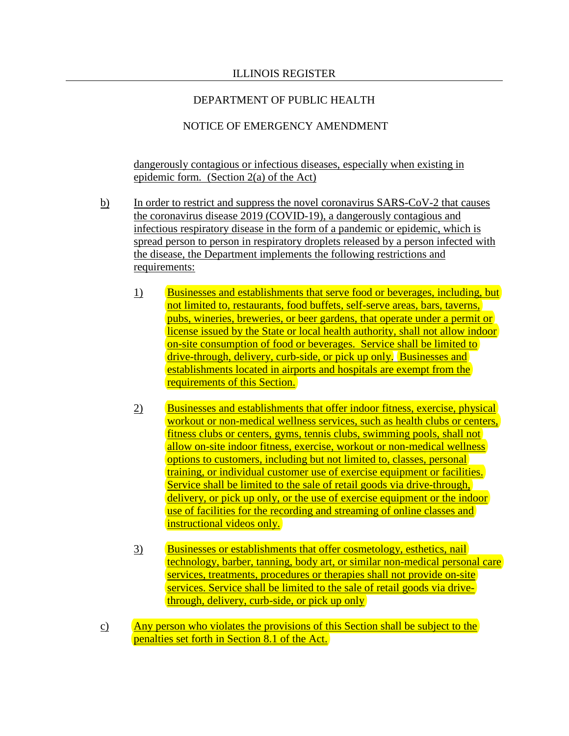### DEPARTMENT OF PUBLIC HEALTH

### NOTICE OF EMERGENCY AMENDMENT

dangerously contagious or infectious diseases, especially when existing in epidemic form*.* (Section 2(a) of the Act)

- b) In order to restrict and suppress the novel coronavirus SARS-CoV-2 that causes the coronavirus disease 2019 (COVID-19), a dangerously contagious and infectious respiratory disease in the form of a pandemic or epidemic, which is spread person to person in respiratory droplets released by a person infected with the disease, the Department implements the following restrictions and requirements:
	- 1) Businesses and establishments that serve food or beverages, including, but not limited to, restaurants, food buffets, self-serve areas, bars, taverns, pubs, wineries, breweries, or beer gardens, that operate under a permit or license issued by the State or local health authority, shall not allow indoor on-site consumption of food or beverages. Service shall be limited to drive-through, delivery, curb-side, or pick up only. Businesses and establishments located in airports and hospitals are exempt from the requirements of this Section.
	- 2) Businesses and establishments that offer indoor fitness, exercise, physical workout or non-medical wellness services, such as health clubs or centers, fitness clubs or centers, gyms, tennis clubs, swimming pools, shall not allow on-site indoor fitness, exercise, workout or non-medical wellness options to customers, including but not limited to, classes, personal training, or individual customer use of exercise equipment or facilities. Service shall be limited to the sale of retail goods via drive-through, delivery, or pick up only, or the use of exercise equipment or the indoor use of facilities for the recording and streaming of online classes and instructional videos only.
	- 3) Businesses or establishments that offer cosmetology, esthetics, nail technology, barber, tanning, body art, or similar non-medical personal care services, treatments, procedures or therapies shall not provide on-site services. Service shall be limited to the sale of retail goods via drivethrough, delivery, curb-side, or pick up only
- c) Any person who violates the provisions of this Section shall be subject to the penalties set forth in Section 8.1 of the Act.